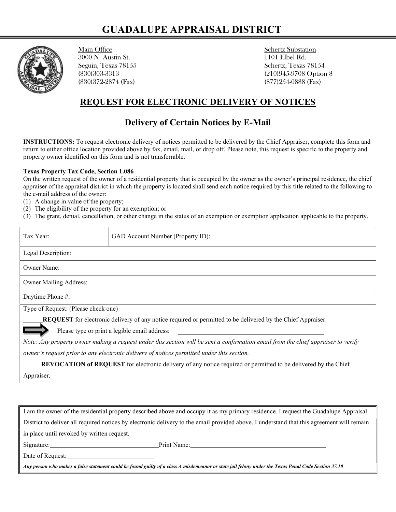## GUADALUPE APPRAISAL DISTRICT



Main Office Schertz Substation<br>
3000 N. Austin St. 1101 Elbel Rd. 3000 N. Austin St. Seguin, Texas 78155 Schertz, Texas 78154 (830)372-2874 (Fax) (877)254-0888 (Fax)

(830)303-3313 (210)945-9708 Option 8

## REQUEST FOR ELECTRONIC DELIVERY OF NOTICES

## Delivery of Certain Notices by E-Mail

INSTRUCTIONS: To request electronic delivery of notices permitted to be delivered by the Chief Appraiser, complete this form and return to either office location provided above by fax, email, mail, or drop off. Please note, this request is specific to the property and property owner identified on this form and is not transferrable.

## Texas Property Tax Code, Section 1.086

On the written request of the owner of a residential property that is occupied by the owner as the owner's principal residence, the chief appraiser of the appraisal district in which the property is located shall send each notice required by this title related to the following to the e-mail address of the owner:

- (1) A change in value of the property;
- (2) The eligibility of the property for an exemption; or
- (3) The grant, denial, cancellation, or other change in the status of an exemption or exemption application applicable to the property.

| Tax Year:                                                                                                                                 | GAD Account Number (Property ID): |
|-------------------------------------------------------------------------------------------------------------------------------------------|-----------------------------------|
| Legal Description:                                                                                                                        |                                   |
| Owner Name:                                                                                                                               |                                   |
| Owner Mailing Address:                                                                                                                    |                                   |
| Daytime Phone #:                                                                                                                          |                                   |
| Type of Request: (Please check one)                                                                                                       |                                   |
| <b>REQUEST</b> for electronic delivery of any notice required or permitted to be delivered by the Chief Appraiser.                        |                                   |
| Please type or print a legible email address:                                                                                             |                                   |
| Note: Any property owner making a request under this section will be sent a confirmation email from the chief appraiser to verify         |                                   |
| owner's request prior to any electronic delivery of notices permitted under this section.                                                 |                                   |
| REVOCATION of REQUEST for electronic delivery of any notice required or permitted to be delivered by the Chief                            |                                   |
| Appraiser.                                                                                                                                |                                   |
|                                                                                                                                           |                                   |
|                                                                                                                                           |                                   |
|                                                                                                                                           |                                   |
| I am the owner of the residential property described above and occupy it as my primary residence. I request the Guadalupe Appraisal       |                                   |
| District to deliver all required notices by electronic delivery to the email provided above. I understand that this agreement will remain |                                   |
| in place until revoked by written request.                                                                                                |                                   |
| Signature:                                                                                                                                | Print Name:                       |

Date of Request:

Any person who makes a false statement could be found guilty of a class A misdemeanor or state jail felony under the Texas Penal Code Section 37.10